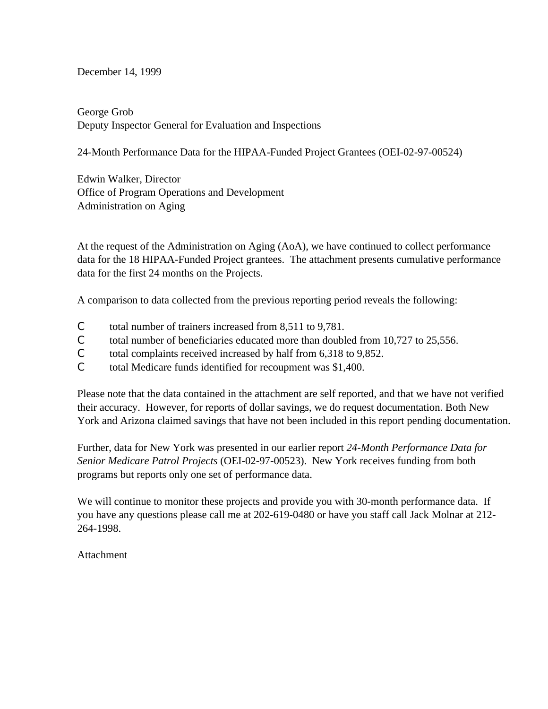December 14, 1999

George Grob Deputy Inspector General for Evaluation and Inspections

24-Month Performance Data for the HIPAA-Funded Project Grantees (OEI-02-97-00524)

Edwin Walker, Director Office of Program Operations and Development Administration on Aging

At the request of the Administration on Aging (AoA), we have continued to collect performance data for the 18 HIPAA-Funded Project grantees. The attachment presents cumulative performance data for the first 24 months on the Projects.

A comparison to data collected from the previous reporting period reveals the following:

- C total number of trainers increased from 8,511 to 9,781.
- C total number of beneficiaries educated more than doubled from 10,727 to 25,556.
- C total complaints received increased by half from 6,318 to 9,852.
- C total Medicare funds identified for recoupment was \$1,400.

Please note that the data contained in the attachment are self reported, and that we have not verified their accuracy. However, for reports of dollar savings, we do request documentation. Both New York and Arizona claimed savings that have not been included in this report pending documentation.

Further, data for New York was presented in our earlier report *24-Month Performance Data for Senior Medicare Patrol Projects* (OEI-02-97-00523). New York receives funding from both programs but reports only one set of performance data.

We will continue to monitor these projects and provide you with 30-month performance data. If you have any questions please call me at 202-619-0480 or have you staff call Jack Molnar at 212- 264-1998.

Attachment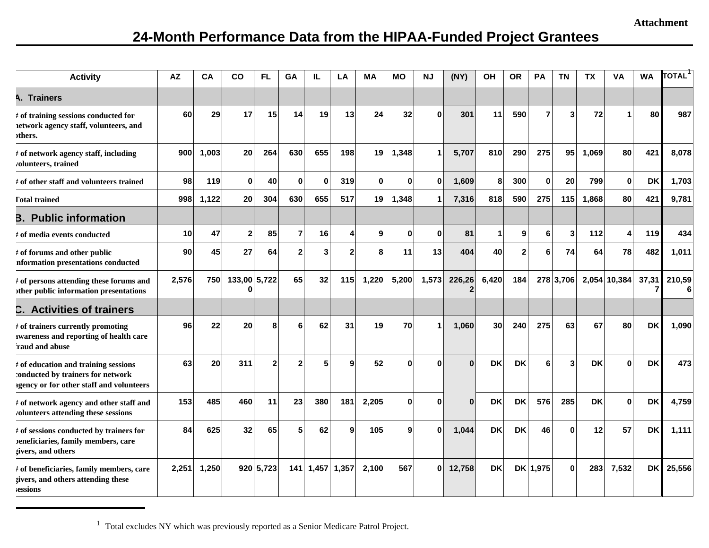## **24-Month Performance Data from the HIPAA-Funded Project Grantees**

| <b>Activity</b>                                                                                                       | ΑZ    | CА    | CO           | FL             | GΑ             | IL              | LA             | МA           | MО       | ΝJ           | (NY)   | ΟH        | OR.          | <b>PA</b> | ΤN        | ΤХ        | VA           | <b>WA</b> | <b>TOTAL</b> |
|-----------------------------------------------------------------------------------------------------------------------|-------|-------|--------------|----------------|----------------|-----------------|----------------|--------------|----------|--------------|--------|-----------|--------------|-----------|-----------|-----------|--------------|-----------|--------------|
| <b>A. Trainers</b>                                                                                                    |       |       |              |                |                |                 |                |              |          |              |        |           |              |           |           |           |              |           |              |
| # of training sessions conducted for<br>network agency staff, volunteers, and<br>others.                              | 60    | 29    | 17           | 15             | 14             | 19              | 13             | 24           | 32       | $\Omega$     | 301    | 11        | 590          | 7         | 3         | 72        |              | 80        | 987          |
| # of network agency staff, including<br><i>v</i> olunteers, trained                                                   | 900   | 1,003 | 20           | 264            | 630            | 655             | 198            | 19           | 1,348    | $\mathbf 1$  | 5,707  | 810       | 290          | 275       | 95        | 1,069     | 80           | 421       | 8,078        |
| t of other staff and volunteers trained                                                                               | 98    | 119   | $\bf{0}$     | 40             | $\mathbf{0}$   | $\Omega$        | 319            | $\mathbf{0}$ | $\bf{0}$ | $\mathbf{0}$ | 1,609  | 8         | 300          | $\bf{0}$  | 20        | 799       | $\bf{0}$     | <b>DK</b> | 1,703        |
| <b>Total trained</b>                                                                                                  | 998   | 1,122 | 20           | 304            | 630            | 655             | 517            | 19           | 1,348    | $\mathbf{1}$ | 7,316  | 818       | 590          | 275       | 115       | 1,868     | 80           | 421       | 9,781        |
| <b>B.</b> Public information                                                                                          |       |       |              |                |                |                 |                |              |          |              |        |           |              |           |           |           |              |           |              |
| <b># of media events conducted</b>                                                                                    | 10    | 47    | $\mathbf{2}$ | 85             | $\overline{7}$ | 16              | Δ              | 9            | $\bf{0}$ | $\mathbf{0}$ | 81     | 1         | 9            | 6         | 3         | 112       | 4            | 119       | 434          |
| # of forums and other public<br>nformation presentations conducted                                                    | 90    | 45    | 27           | 64             | 2              | 3               | $\overline{2}$ | 8            | 11       | 13           | 404    | 40        | $\mathbf{2}$ | 6         | 74        | 64        | 78           | 482       | 1,011        |
| # of persons attending these forums and<br>other public information presentations                                     | 2,576 | 750   | 133,00 5,722 |                | 65             | 32              | 115            | 1,220        | 5,200    | 1,573        | 226,26 | 6,420     | 184          |           | 278 3,706 |           | 2,054 10,384 | 37,31     | 210,59       |
| C. Activities of trainers                                                                                             |       |       |              |                |                |                 |                |              |          |              |        |           |              |           |           |           |              |           |              |
| # of trainers currently promoting<br>awareness and reporting of health care<br>raud and abuse                         | 96    | 22    | 20           | 8              | 6              | 62              | 31             | 19           | 70       | 1            | 1,060  | 30        | 240          | 275       | 63        | 67        | 80           | <b>DK</b> | 1,090        |
| # of education and training sessions<br>conducted by trainers for network<br>agency or for other staff and volunteers | 63    | 20    | 311          | $\overline{2}$ | 2              | 5               | q              | 52           | O        | O            | O      | <b>DK</b> | <b>DK</b>    | 6         | 3         | <b>DK</b> | n            | <b>DK</b> | 473          |
| # of network agency and other staff and<br>volunteers attending these sessions                                        | 153   | 485   | 460          | 11             | 23             | 380             | 181            | 2,205        | 0        | $\Omega$     | ŋ      | <b>DK</b> | <b>DK</b>    | 576       | 285       | <b>DK</b> | $\Omega$     | <b>DK</b> | 4,759        |
| # of sessions conducted by trainers for<br>peneficiaries, family members, care<br>givers, and others                  | 84    | 625   | 32           | 65             | 5              | 62              | 9              | 105          | 9        | $\Omega$     | 1,044  | <b>DK</b> | <b>DK</b>    | 46        | 0         | 12        | 57           | <b>DK</b> | 1,111        |
| # of beneficiaries, family members, care<br>givers, and others attending these<br>essions                             | 2,251 | 1,250 |              | 920 5,723      |                | 141 1,457 1,357 |                | 2,100        | 567      | 0            | 12,758 | <b>DK</b> |              | DK 1,975  | $\bf{0}$  | 283       | 7,532        |           | DK 25,556    |

<sup>1</sup> Total excludes NY which was previously reported as a Senior Medicare Patrol Project.